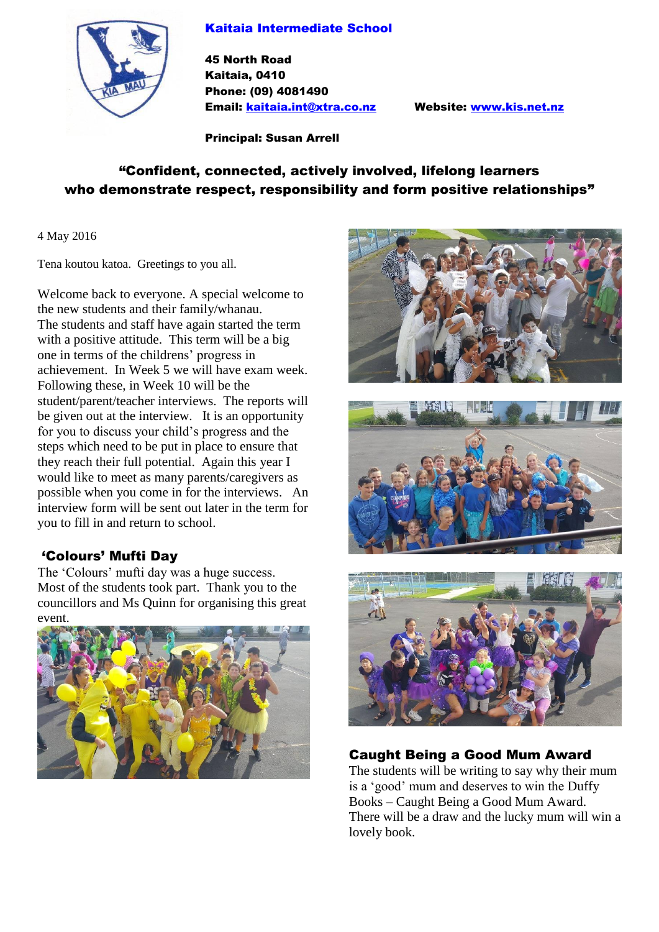#### Kaitaia Intermediate School



45 North Road Kaitaia, 0410 Phone: (09) 4081490 Email: [kaitaia.int@xtra.co.nz](mailto:kaitaia.int@xtra.co.nz) Website: [www.kis.net.nz](http://www.kis.net.nz/)

Principal: Susan Arrell

# "Confident, connected, actively involved, lifelong learners who demonstrate respect, responsibility and form positive relationships"

4 May 2016

Tena koutou katoa. Greetings to you all.

Welcome back to everyone. A special welcome to the new students and their family/whanau. The students and staff have again started the term with a positive attitude. This term will be a big one in terms of the childrens' progress in achievement. In Week 5 we will have exam week. Following these, in Week 10 will be the student/parent/teacher interviews. The reports will be given out at the interview. It is an opportunity for you to discuss your child's progress and the steps which need to be put in place to ensure that they reach their full potential. Again this year I would like to meet as many parents/caregivers as possible when you come in for the interviews. An interview form will be sent out later in the term for you to fill in and return to school.

## 'Colours' Mufti Day

The 'Colours' mufti day was a huge success. Most of the students took part. Thank you to the councillors and Ms Quinn for organising this great event.









## Caught Being a Good Mum Award

The students will be writing to say why their mum is a 'good' mum and deserves to win the Duffy Books – Caught Being a Good Mum Award. There will be a draw and the lucky mum will win a lovely book.